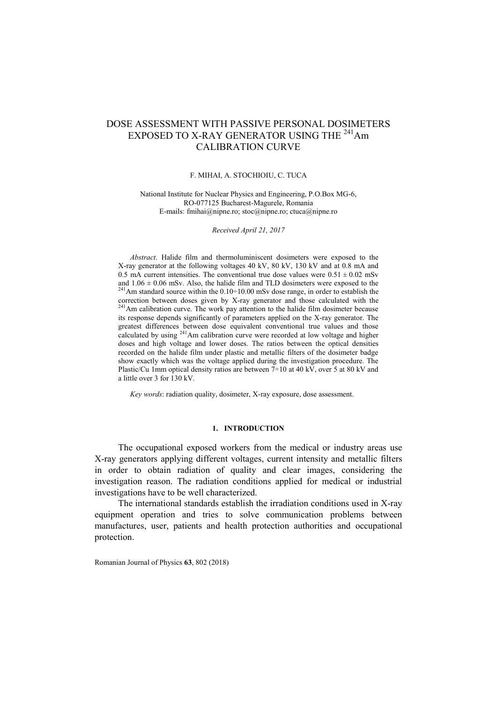# DOSE ASSESSMENT WITH PASSIVE PERSONAL DOSIMETERS EXPOSED TO X-RAY GENERATOR USING THE <sup>241</sup>Am CALIBRATION CURVE

#### F. MIHAI, A. STOCHIOIU, C. TUCA

National Institute for Nuclear Physics and Engineering, P.O.Box MG-6, RO-077125 Bucharest-Magurele, Romania E-mails: [fmihai@nipne.ro;](mailto:fmihai@nipne.ro) [stoc@nipne.ro;](mailto:stoc@nipne.ro) [ctuca@nipne.ro](mailto:ctuca@nipne.ro)

*Received April 21, 2017*

*Abstract*. Halide film and thermoluminiscent dosimeters were exposed to the X-ray generator at the following voltages 40 kV, 80 kV, 130 kV and at 0.8 mA and 0.5 mA current intensities. The conventional true dose values were  $0.51 \pm 0.02$  mSv and  $1.06 \pm 0.06$  mSv. Also, the halide film and TLD dosimeters were exposed to the <sup>241</sup>Am standard source within the 0.10÷10.00 mSv dose range, in order to establish the correction between doses given by X-ray generator and those calculated with the <sup>241</sup>Am calibration curve. The work pay attention to the halide film dosimeter because its response depends significantly of parameters applied on the X-ray generator. The greatest differences between dose equivalent conventional true values and those calculated by using <sup>241</sup>Am calibration curve were recorded at low voltage and higher doses and high voltage and lower doses. The ratios between the optical densities recorded on the halide film under plastic and metallic filters of the dosimeter badge show exactly which was the voltage applied during the investigation procedure. The Plastic/Cu 1mm optical density ratios are between  $7\div 10$  at 40 kV, over 5 at 80 kV and a little over 3 for 130 kV.

*Key words*: radiation quality, dosimeter, X-ray exposure, dose assessment.

# **1. INTRODUCTION**

The occupational exposed workers from the medical or industry areas use X-ray generators applying different voltages, current intensity and metallic filters in order to obtain radiation of quality and clear images, considering the investigation reason. The radiation conditions applied for medical or industrial investigations have to be well characterized.

The international standards establish the irradiation conditions used in X-ray equipment operation and tries to solve communication problems between manufactures, user, patients and health protection authorities and occupational protection.

Romanian Journal of Physics **63**, 802 (2018)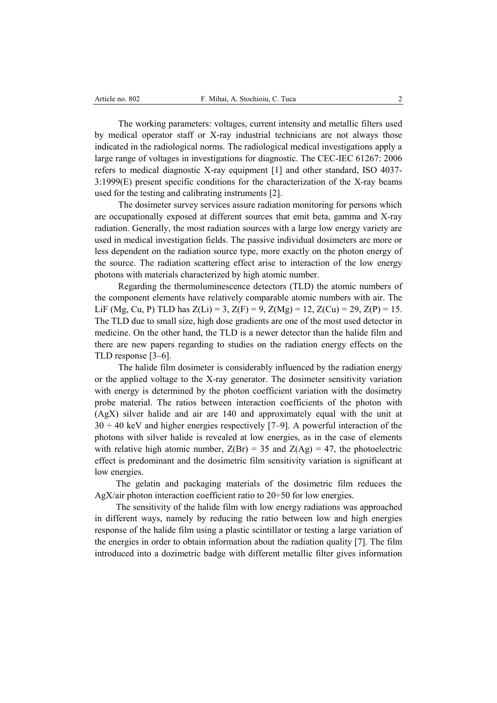The working parameters: voltages, current intensity and metallic filters used by medical operator staff or X-ray industrial technicians are not always those indicated in the radiological norms. The radiological medical investigations apply a large range of voltages in investigations for diagnostic. The CEC-IEC 61267: 2006 refers to medical diagnostic X-ray equipment [1] and other standard, ISO 4037- 3:1999(E) present specific conditions for the characterization of the X-ray beams used for the testing and calibrating instruments [2].

The dosimeter survey services assure radiation monitoring for persons which are occupationally exposed at different sources that emit beta, gamma and X-ray radiation. Generally, the most radiation sources with a large low energy variety are used in medical investigation fields. The passive individual dosimeters are more or less dependent on the radiation source type, more exactly on the photon energy of the source. The radiation scattering effect arise to interaction of the low energy photons with materials characterized by high atomic number.

Regarding the thermoluminescence detectors (TLD) the atomic numbers of the component elements have relatively comparable atomic numbers with air. The LiF (Mg, Cu, P) TLD has  $Z(Li) = 3$ ,  $Z(F) = 9$ ,  $Z(Mg) = 12$ ,  $Z(Cu) = 29$ ,  $Z(P) = 15$ . The TLD due to small size, high dose gradients are one of the most used detector in medicine. On the other hand, the TLD is a newer detector than the halide film and there are new papers regarding to studies on the radiation energy effects on the TLD response [3–6].

The halide film dosimeter is considerably influenced by the radiation energy or the applied voltage to the X-ray generator. The dosimeter sensitivity variation with energy is determined by the photon coefficient variation with the dosimetry probe material. The ratios between interaction coefficients of the photon with (AgX) silver halide and air are 140 and approximately equal with the unit at  $30 \div 40$  keV and higher energies respectively [7–9]. A powerful interaction of the photons with silver halide is revealed at low energies, as in the case of elements with relative high atomic number,  $Z(Br) = 35$  and  $Z(Ag) = 47$ , the photoelectric effect is predominant and the dosimetric film sensitivity variation is significant at low energies.

The gelatin and packaging materials of the dosimetric film reduces the AgX/air photon interaction coefficient ratio to  $20 \div 50$  for low energies.

The sensitivity of the halide film with low energy radiations was approached in different ways, namely by reducing the ratio between low and high energies response of the halide film using a plastic scintillator or testing a large variation of the energies in order to obtain information about the radiation quality [7]. The film introduced into a dozimetric badge with different metallic filter gives information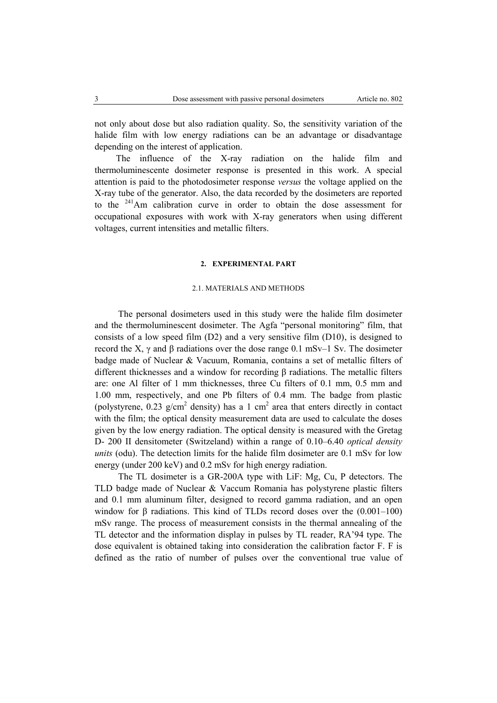not only about dose but also radiation quality. So, the sensitivity variation of the halide film with low energy radiations can be an advantage or disadvantage depending on the interest of application.

The influence of the X-ray radiation on the halide film and thermoluminescente dosimeter response is presented in this work. A special attention is paid to the photodosimeter response *versus* the voltage applied on the X-ray tube of the generator. Also, the data recorded by the dosimeters are reported to the <sup>241</sup>Am calibration curve in order to obtain the dose assessment for occupational exposures with work with X-ray generators when using different voltages, current intensities and metallic filters.

### **2. EXPERIMENTAL PART**

# 2.1. MATERIALS AND METHODS

The personal dosimeters used in this study were the halide film dosimeter and the thermoluminescent dosimeter. The Agfa "personal monitoring" film, that consists of a low speed film (D2) and a very sensitive film (D10), is designed to record the X, γ and β radiations over the dose range 0.1 mSv–1 Sv. The dosimeter badge made of Nuclear & Vacuum, Romania, contains a set of metallic filters of different thicknesses and a window for recording β radiations. The metallic filters are: one Al filter of 1 mm thicknesses, three Cu filters of 0.1 mm, 0.5 mm and 1.00 mm, respectively, and one Pb filters of 0.4 mm. The badge from plastic (polystyrene, 0.23  $g/cm<sup>2</sup>$  density) has a 1 cm<sup>2</sup> area that enters directly in contact with the film; the optical density measurement data are used to calculate the doses given by the low energy radiation. The optical density is measured with the Gretag D- 200 II densitometer (Switzeland) within a range of 0.10–6.40 *optical density units* (odu). The detection limits for the halide film dosimeter are 0.1 mSv for low energy (under 200 keV) and 0.2 mSv for high energy radiation.

The TL dosimeter is a GR-200A type with LiF: Mg, Cu, P detectors. The TLD badge made of Nuclear & Vaccum Romania has polystyrene plastic filters and 0.1 mm aluminum filter, designed to record gamma radiation, and an open window for  $\beta$  radiations. This kind of TLDs record doses over the  $(0.001-100)$ mSv range. The process of measurement consists in the thermal annealing of the TL detector and the information display in pulses by TL reader, RA'94 type. The dose equivalent is obtained taking into consideration the calibration factor F. F is defined as the ratio of number of pulses over the conventional true value of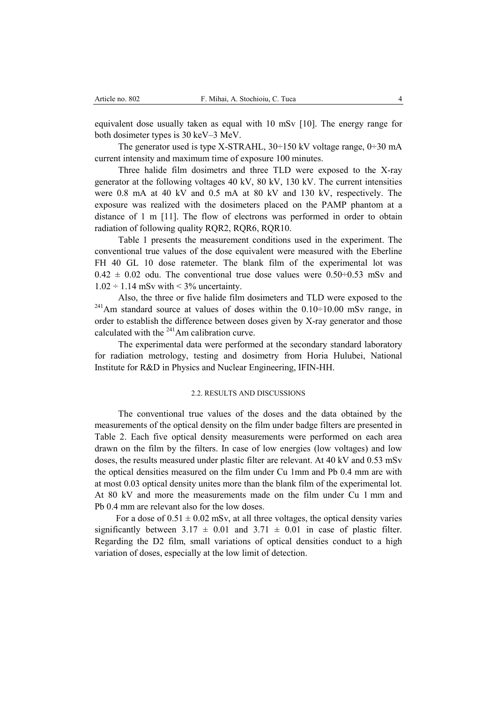equivalent dose usually taken as equal with 10 mSv [10]. The energy range for both dosimeter types is 30 keV–3 MeV.

The generator used is type X-STRAHL,  $30\div 150$  kV voltage range,  $0\div 30$  mA current intensity and maximum time of exposure 100 minutes.

Three halide film dosimetrs and three TLD were exposed to the X-ray generator at the following voltages 40 kV, 80 kV, 130 kV. The current intensities were 0.8 mA at 40 kV and 0.5 mA at 80 kV and 130 kV, respectively. The exposure was realized with the dosimeters placed on the PAMP phantom at a distance of 1 m [11]. The flow of electrons was performed in order to obtain radiation of following quality RQR2, RQR6, RQR10.

Table 1 presents the measurement conditions used in the experiment. The conventional true values of the dose equivalent were measured with the Eberline FH 40 GL 10 dose ratemeter. The blank film of the experimental lot was  $0.42 \pm 0.02$  odu. The conventional true dose values were  $0.50\div 0.53$  mSv and  $1.02 \div 1.14$  mSv with  $\leq 3\%$  uncertainty.

Also, the three or five halide film dosimeters and TLD were exposed to the  $241$ Am standard source at values of doses within the  $0.10 \div 10.00$  mSv range, in order to establish the difference between doses given by X-ray generator and those calculated with the <sup>241</sup>Am calibration curve.

The experimental data were performed at the secondary standard laboratory for radiation metrology, testing and dosimetry from Horia Hulubei, National Institute for R&D in Physics and Nuclear Engineering, IFIN-HH.

# 2.2. RESULTS AND DISCUSSIONS

The conventional true values of the doses and the data obtained by the measurements of the optical density on the film under badge filters are presented in Table 2. Each five optical density measurements were performed on each area drawn on the film by the filters. In case of low energies (low voltages) and low doses, the results measured under plastic filter are relevant. At 40 kV and 0.53 mSv the optical densities measured on the film under Cu 1mm and Pb 0.4 mm are with at most 0.03 optical density unites more than the blank film of the experimental lot. At 80 kV and more the measurements made on the film under Cu 1 mm and Pb 0.4 mm are relevant also for the low doses.

For a dose of  $0.51 \pm 0.02$  mSv, at all three voltages, the optical density varies significantly between  $3.17 \pm 0.01$  and  $3.71 \pm 0.01$  in case of plastic filter. Regarding the D2 film, small variations of optical densities conduct to a high variation of doses, especially at the low limit of detection.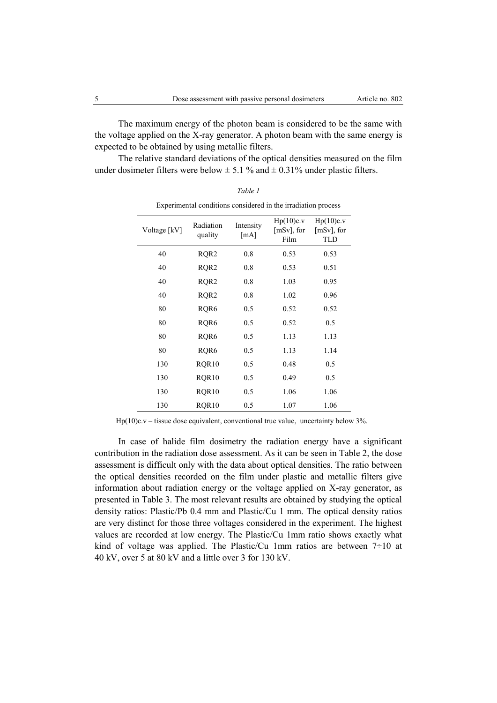The maximum energy of the photon beam is considered to be the same with the voltage applied on the X-ray generator. A photon beam with the same energy is expected to be obtained by using metallic filters.

The relative standard deviations of the optical densities measured on the film under dosimeter filters were below  $\pm$  5.1 % and  $\pm$  0.31% under plastic filters.

|              |                      |                   | Experimental conditions considered in the madiation process |                                          |
|--------------|----------------------|-------------------|-------------------------------------------------------------|------------------------------------------|
| Voltage [kV] | Radiation<br>quality | Intensity<br>[mA] | Hp(10)c.v<br>$[mSv]$ , for<br>Film                          | Hp(10)c.v<br>$[mSv]$ , for<br><b>TLD</b> |
| 40           | RQR <sub>2</sub>     | 0.8               | 0.53                                                        | 0.53                                     |
| 40           | RQR <sub>2</sub>     | 0.8               | 0.53                                                        | 0.51                                     |
| 40           | RQR <sub>2</sub>     | 0.8               | 1.03                                                        | 0.95                                     |
| 40           | RQR <sub>2</sub>     | 0.8               | 1.02                                                        | 0.96                                     |
| 80           | RQR6                 | 0.5               | 0.52                                                        | 0.52                                     |
| 80           | RQR6                 | 0.5               | 0.52                                                        | 0.5                                      |
| 80           | RQR6                 | 0.5               | 1.13                                                        | 1.13                                     |
| 80           | RQR6                 | 0.5               | 1.13                                                        | 1.14                                     |
| 130          | RQR10                | 0.5               | 0.48                                                        | 0.5                                      |
| 130          | RQR10                | 0.5               | 0.49                                                        | 0.5                                      |
| 130          | RQR10                | 0.5               | 1.06                                                        | 1.06                                     |
| 130          | RQR10                | 0.5               | 1.07                                                        | 1.06                                     |

*Table 1* Experimental conditions considered in the irradiation process

Hp(10)c.v – tissue dose equivalent, conventional true value, uncertainty below  $3\%$ .

In case of halide film dosimetry the radiation energy have a significant contribution in the radiation dose assessment. As it can be seen in Table 2, the dose assessment is difficult only with the data about optical densities. The ratio between the optical densities recorded on the film under plastic and metallic filters give information about radiation energy or the voltage applied on X-ray generator, as presented in Table 3. The most relevant results are obtained by studying the optical density ratios: Plastic/Pb 0.4 mm and Plastic/Cu 1 mm. The optical density ratios are very distinct for those three voltages considered in the experiment. The highest values are recorded at low energy. The Plastic/Cu 1mm ratio shows exactly what kind of voltage was applied. The Plastic/Cu 1mm ratios are between  $7\div 10$  at 40 kV, over 5 at 80 kV and a little over 3 for 130 kV.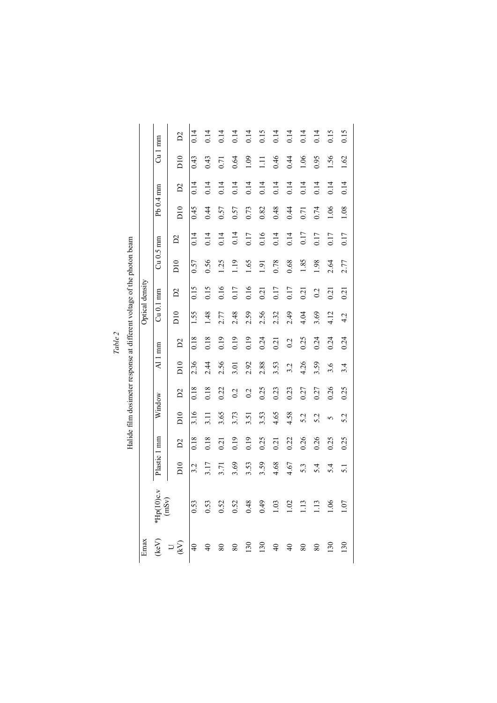|                                                                        |                 |              | $\mathbf{C}$                                                                                                                                                                                                                                                                                       | 0.14 | 0.14          | 0.14 | 0.14 | 0.14 | 0.15  | 0.14 | 0.14 | 0.14 | 0.14 | 0.15 | 0.15             |
|------------------------------------------------------------------------|-----------------|--------------|----------------------------------------------------------------------------------------------------------------------------------------------------------------------------------------------------------------------------------------------------------------------------------------------------|------|---------------|------|------|------|-------|------|------|------|------|------|------------------|
|                                                                        |                 | $Cu1$ mm     | $\overline{D10}$                                                                                                                                                                                                                                                                                   | 0.43 | 0.43          | 0.71 | 0.64 | 1.09 | $\Xi$ | 0.46 | 0.44 | 1.06 | 0.95 | 1.56 | 1.62             |
|                                                                        |                 |              | $\mathbf{C}$                                                                                                                                                                                                                                                                                       | 0.14 | 0.14          | 0.14 | 0.14 | 0.14 | 0.14  | 0.14 | 0.14 | 0.14 | 0.14 | 0.14 | 0.14             |
|                                                                        |                 | Pb 0.4 mm    | D10                                                                                                                                                                                                                                                                                                | 0.45 | 0.44          | 0.57 | 0.57 | 0.73 | 0.82  | 0.48 | 0.44 | 0.71 | 0.74 | 1.06 | 1.08             |
|                                                                        |                 |              | $\mathbf{C}$                                                                                                                                                                                                                                                                                       | 0.14 | 0.14          | 0.14 | 0.14 | 0.17 | 0.16  | 0.14 | 0.14 | 0.17 | 0.17 | 0.17 | 0.17             |
| Halide film dosimeter response at different voltage of the photon beam |                 | $Cu$ 0.5 mm  | $\overline{D10}$                                                                                                                                                                                                                                                                                   | 0.57 | 0.56          | 1.25 | 1.19 | 1.65 | 1.91  | 0.78 | 0.68 | 1.85 | 1.98 | 2.64 | 2.77             |
|                                                                        | Optical density |              | $\mathbf{D}2$                                                                                                                                                                                                                                                                                      | 0.15 | 0.15          | 0.16 | 0.17 | 0.16 | 0.21  | 0.17 | 0.17 | 0.21 | 0.2  | 0.21 | 0.21             |
|                                                                        |                 | $Cu$ 0.1 mm  | $\overline{D}10$                                                                                                                                                                                                                                                                                   | 1.55 | 1.48          | 2.77 | 2.48 | 2.59 | 2.56  | 2.32 | 2.49 | 4.04 | 3.69 | 4.12 | 4.2              |
|                                                                        |                 | Al 1 mm      | $\mathbf{D}$                                                                                                                                                                                                                                                                                       | 0.18 | 0.18          | 0.19 | 0.19 | 0.19 | 0.24  | 0.21 | 0.2  | 0.25 | 0.24 | 0.24 | 0.24             |
|                                                                        |                 |              | D10                                                                                                                                                                                                                                                                                                | 2.36 | 2.44          | 2.56 | 3.01 | 2.92 | 2.88  | 3.53 | 3.2  | 4.26 | 3.59 | 3.6  | 3.4              |
|                                                                        |                 | Window       | $\mathbf{D}$                                                                                                                                                                                                                                                                                       | 0.18 | 0.18          | 0.22 | 0.2  | 0.2  | 0.25  | 0.23 | 0.23 | 0.27 | 0.27 | 0.26 | 0.25             |
|                                                                        |                 |              | $\overline{D10}$                                                                                                                                                                                                                                                                                   | 3.16 | $\frac{1}{2}$ | 3.65 | 3.73 | 3.51 | 3.53  | 4.65 | 4.58 | 5.2  | 5.2  | 5    | 5.2              |
|                                                                        |                 | Plastic 1 mm | $\mathbf{D}2$                                                                                                                                                                                                                                                                                      | 0.18 | 0.18          | 0.21 | 0.19 | 0.19 | 0.25  | 0.21 | 0.22 | 0.26 | 0.26 | 0.25 | 0.25             |
|                                                                        |                 |              | D10                                                                                                                                                                                                                                                                                                | 3.2  | 3.17          | 3.71 | 3.69 | 3.53 | 3.59  | 4.68 | 4.67 | 5.3  | 5.4  | 5.4  | $\overline{5}$ . |
|                                                                        |                 | k.y          | (keV) *Hp(10)c.<br>(hSv)<br>(hSv)<br>(hSv)<br>(hSv)<br>(hSv)<br>(mSv)<br>0.53<br>(hSv)<br>0.53<br>0.53<br>0.53<br>0.52<br>0.52<br>0.52<br>0.52<br>0.52<br>0.52<br>0.52<br>0.48<br>0.48<br>1.10<br>1.00<br>1.00<br>1.00<br>1.00<br>1.00<br>1.10<br>1.10<br>1.10<br>1.10<br>1.10<br>1.10<br>1.10<br> |      |               |      |      |      |       |      |      |      |      |      |                  |
|                                                                        | Emax            |              |                                                                                                                                                                                                                                                                                                    |      |               |      |      |      |       |      |      |      |      |      |                  |

Halide film dosimeter response at different voltage of the photon beam *Table 2*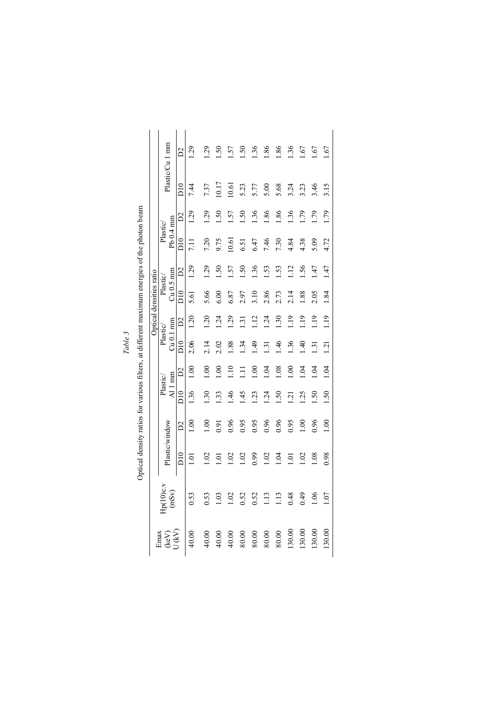|                                   |                    |                  |                 |                            |                                |                         |                           | Optical densities ratio |                 |                       |                 |              |                 |
|-----------------------------------|--------------------|------------------|-----------------|----------------------------|--------------------------------|-------------------------|---------------------------|-------------------------|-----------------|-----------------------|-----------------|--------------|-----------------|
| Emax<br>$\left(\text{keV}\right)$ | 4p(10)c.v<br>(mSv) |                  | Plastic/window  |                            | $\overline{A}$ 1 mm<br>Plastic | $Cu$ 0.1 mm<br>Plastic/ |                           | $Cu$ 0.5 mm<br>Plastic/ |                 | $Pb0.4$ mm<br>Plastic |                 |              | Plastic/Cu 1 mm |
| U (kV)                            |                    | $_{\rm D10}$     | $\tilde{D}$     | $\overline{D10}$           | $\mathbb{S}^1$                 | $\overline{D}10$        | $\mathbb{Z}$              | $\overline{D}10$        | $\mathbb{Z}$    | $\overline{D}10$      | $\mathbb{Z}$    | $_{\rm D10}$ | $\mathcal{S}$   |
| 40.00                             | 0.53               | <u>이</u>         | $\frac{8}{1}$   | 1.36                       | $\frac{8}{1}$                  | 2.06                    | 1.20                      | 5.61                    | $\overline{29}$ | <b>11</b>             | 1.29            | 7.44         | 29              |
| 40.00                             | 0.53               | $\overline{S}$   | $\frac{8}{1}$   | $\ddot{.}$                 | $\frac{8}{1}$                  | 2.14                    | $\widetilde{\mathcal{L}}$ | 5.66                    | 29              | 7.20                  | 29              | 7.37         | 29              |
| 40.00                             | 1.03               | ē                | 9.91            | 33                         | $\mathcal{S}$                  | 2.02                    | ý.                        | 6.00                    | 50              | 0.75                  | 50              | 10.17        | 50              |
| 40.00                             | 02                 | S                | 0.96            | $\frac{4}{6}$              | $\Xi$                          | 88.                     | Sö.                       | 6.87                    | 57              | 10.61                 | 57              | $-0.61$      | .57             |
| 80.00                             | 0.52               | 1.02             | 0.95            | 45                         | Ę                              | $\ddot{3}$              | ني                        | 2.97                    | 50              | 6.51                  | $\overline{50}$ | 5.23         | 50              |
| 80.00                             | 0.52               | 6.99             | 0.95            | $\overline{23}$            | $\frac{8}{1}$                  | $\ddot{ }$              | $\frac{12}{1}$            | 3.10                    | .36             | 5.47                  | 136             | 5.77         | 1.36            |
| 80.00                             | 113                | 1.02             | 0.96            | $\overline{24}$            | 104                            | $\overline{31}$         | $\ddot{z}$                | 2.86                    | 53              | 7.46                  | 1.86            | 5.00         | 1.86            |
| $80.00$                           | 113                | 104              | 0.96            | 50                         | 08                             | $\frac{4}{6}$           | $\ddot{.}30$              | 2.73                    | 53.             | 7.30                  | .86             | 5.68         | .86             |
| 130.00                            | 0.48               | $\overline{0}$ . | 0.95            | $\mathcal{L}_{\mathbf{1}}$ | $\frac{8}{10}$                 | 36                      | $\frac{1}{2}$             | 2.14                    | $\frac{12}{1}$  | 4.84                  | 1.36            | 3.24         | 1.36            |
| 130.00                            | 64.0               | 1.02             | $\frac{8}{1}$   | 25                         | $\overline{5}$                 | $\overline{40}$         | $\frac{1}{2}$             | 1.88                    | 56              | 4.38                  | 1.79            | 3.23         | .67             |
| 130.00                            | 1.06               | 0.08             | 0.96            | $\overline{50}$            | $\ddot{5}$                     | $\overline{31}$         | $\frac{9}{2}$             | 2.05                    | 47              | 5.09                  | (79)            | 3.46         | .67             |
| 130.00                            | 1.07               | 0.98             | $\overline{00}$ | $\overline{S}$ .           | 1.04                           | $\overline{21}$         | $\frac{19}{1}$            | 1.84                    | 47              | 4.72                  | 1.79            | 3.15         | .67             |

Optical density ratios for various filters, at different maximum energies of the photon beam Optical density ratios for various filters, at different maximum energies of the photon beam

*Table 3*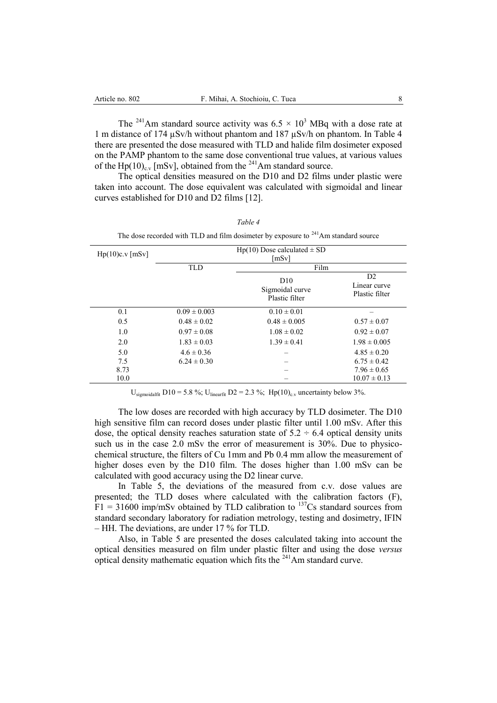The <sup>241</sup>Am standard source activity was  $6.5 \times 10^3$  MBq with a dose rate at 1 m distance of 174 µSv/h without phantom and 187 µSv/h on phantom. In Table 4 there are presented the dose measured with TLD and halide film dosimeter exposed on the PAMP phantom to the same dose conventional true values, at various values of the Hp(10)<sub>cy</sub> [mSv], obtained from the <sup>241</sup>Am standard source.

The optical densities measured on the D10 and D2 films under plastic were taken into account. The dose equivalent was calculated with sigmoidal and linear curves established for D10 and D2 films [12].

| The dose recorded with TLD and film dosimeter by exposure to <sup>241</sup> Am standard source |                                            |                                                      |                                      |  |  |  |  |  |  |
|------------------------------------------------------------------------------------------------|--------------------------------------------|------------------------------------------------------|--------------------------------------|--|--|--|--|--|--|
| $Hp(10)c.v$ [mSv]                                                                              | $Hp(10)$ Dose calculated $\pm$ SD<br>[mSv] |                                                      |                                      |  |  |  |  |  |  |
|                                                                                                | <b>TLD</b>                                 | Film                                                 |                                      |  |  |  |  |  |  |
|                                                                                                |                                            | D <sub>10</sub><br>Sigmoidal curve<br>Plastic filter | D2<br>Linear curve<br>Plastic filter |  |  |  |  |  |  |
| 0.1                                                                                            | $0.09 \pm 0.003$                           | $0.10 \pm 0.01$                                      |                                      |  |  |  |  |  |  |
| 0.5                                                                                            | $0.48 \pm 0.02$                            | $0.48 \pm 0.005$                                     | $0.57 \pm 0.07$                      |  |  |  |  |  |  |
| 1.0                                                                                            | $0.97 \pm 0.08$                            | $1.08 \pm 0.02$                                      | $0.92 \pm 0.07$                      |  |  |  |  |  |  |
| 2.0                                                                                            | $1.83 \pm 0.03$                            | $1.39 \pm 0.41$                                      | $1.98 \pm 0.005$                     |  |  |  |  |  |  |
| 5.0                                                                                            | $4.6 \pm 0.36$                             |                                                      | $4.85 \pm 0.20$                      |  |  |  |  |  |  |
| 7.5                                                                                            | $6.24 \pm 0.30$                            |                                                      | $6.75 \pm 0.42$                      |  |  |  |  |  |  |
| 8.73                                                                                           |                                            |                                                      | $7.96 \pm 0.65$                      |  |  |  |  |  |  |
| 10.0                                                                                           |                                            |                                                      | $10.07 \pm 0.13$                     |  |  |  |  |  |  |

*Table 4* 

U<sub>sigmoidalfit</sub> D10 = 5.8 %; U<sub>linearfit</sub> D2 = 2.3 %; Hp(10)<sub>c.v</sub> uncertainty below 3%.

The low doses are recorded with high accuracy by TLD dosimeter. The D10 high sensitive film can record doses under plastic filter until 1.00 mSv. After this dose, the optical density reaches saturation state of  $5.2 \div 6.4$  optical density units such us in the case 2.0 mSv the error of measurement is 30%. Due to physicochemical structure, the filters of Cu 1mm and Pb 0.4 mm allow the measurement of higher doses even by the D10 film. The doses higher than 1.00 mSv can be calculated with good accuracy using the D2 linear curve.

In Table 5, the deviations of the measured from c.v. dose values are presented; the TLD doses where calculated with the calibration factors (F),  $F1 = 31600$  imp/mSv obtained by TLD calibration to  $^{137}Cs$  standard sources from standard secondary laboratory for radiation metrology, testing and dosimetry, IFIN – HH. The deviations, are under 17 % for TLD.

Also, in Table 5 are presented the doses calculated taking into account the optical densities measured on film under plastic filter and using the dose *versus* optical density mathematic equation which fits the <sup>241</sup>Am standard curve.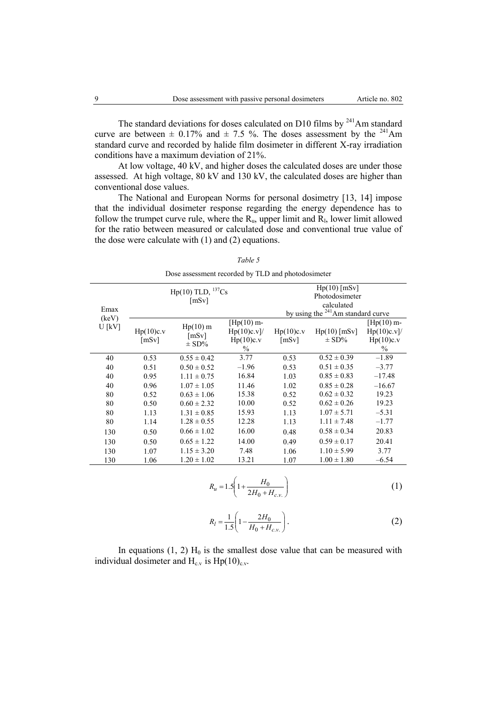The standard deviations for doses calculated on D10 films by  $^{241}$ Am standard curve are between  $\pm$  0.17% and  $\pm$  7.5 %. The doses assessment by the <sup>241</sup>Am standard curve and recorded by halide film dosimeter in different X-ray irradiation conditions have a maximum deviation of 21%.

At low voltage, 40 kV, and higher doses the calculated doses are under those assessed. At high voltage, 80 kV and 130 kV, the calculated doses are higher than conventional dose values.

The National and European Norms for personal dosimetry [13, 14] impose that the individual dosimeter response regarding the energy dependence has to follow the trumpet curve rule, where the  $R_u$ , upper limit and  $R_b$ , lower limit allowed for the ratio between measured or calculated dose and conventional true value of the dose were calculate with (1) and (2) equations.

| ۰.<br>۰. |  |
|----------|--|
|----------|--|

Dose assessment recorded by TLD and photodosimeter

|               |                    | Hp(10) TLD, $^{137}Cs$<br>[mSv]  |                                                         | $Hp(10)$ [mSv]<br>Photodosimeter<br>calculated |                                      |                                                              |  |
|---------------|--------------------|----------------------------------|---------------------------------------------------------|------------------------------------------------|--------------------------------------|--------------------------------------------------------------|--|
| Emax<br>(keV) |                    |                                  |                                                         |                                                | by using the $241$ Am standard curve |                                                              |  |
| $U$ [kV]      | Hp(10)c.v<br>[mSv] | $Hp(10)$ m<br>[mSv]<br>$\pm$ SD% | $[Hp(10) m-$<br>Hp(10)c.v<br>Hp(10)c.v<br>$\frac{0}{0}$ | Hp(10)c.v<br>[mSv]                             | $Hp(10)$ [mSv]<br>$\pm$ SD%          | $[Hp(10) m-$<br>$Hp(10)c.v$ ]/<br>Hp(10)c.v<br>$\frac{0}{0}$ |  |
| 40            | 0.53               | $0.55 \pm 0.42$                  | 3.77                                                    | 0.53                                           | $0.52 \pm 0.39$                      | $-1.89$                                                      |  |
| 40            | 0.51               | $0.50 \pm 0.52$                  | $-1.96$                                                 | 0.53                                           | $0.51 \pm 0.35$                      | $-3.77$                                                      |  |
| 40            | 0.95               | $1.11 \pm 0.75$                  | 16.84                                                   | 1.03                                           | $0.85 \pm 0.83$                      | $-17.48$                                                     |  |
| 40            | 0.96               | $1.07 \pm 1.05$                  | 11.46                                                   | 1.02                                           | $0.85 \pm 0.28$                      | $-16.67$                                                     |  |
| 80            | 0.52               | $0.63 \pm 1.06$                  | 15.38                                                   | 0.52                                           | $0.62 \pm 0.32$                      | 19.23                                                        |  |
| 80            | 0.50               | $0.60 \pm 2.32$                  | 10.00                                                   | 0.52                                           | $0.62 \pm 0.26$                      | 19.23                                                        |  |
| 80            | 1.13               | $1.31 \pm 0.85$                  | 15.93                                                   | 1.13                                           | $1.07 \pm 5.71$                      | $-5.31$                                                      |  |
| 80            | 1.14               | $1.28 \pm 0.55$                  | 12.28                                                   | 1.13                                           | $1.11 \pm 7.48$                      | $-1.77$                                                      |  |
| 130           | 0.50               | $0.66 \pm 1.02$                  | 16.00                                                   | 0.48                                           | $0.58 \pm 0.34$                      | 20.83                                                        |  |
| 130           | 0.50               | $0.65 \pm 1.22$                  | 14.00                                                   | 0.49                                           | $0.59 \pm 0.17$                      | 20.41                                                        |  |
| 130           | 1.07               | $1.15 \pm 3.20$                  | 7.48                                                    | 1.06                                           | $1.10 \pm 5.99$                      | 3.77                                                         |  |
| 130           | 1.06               | $1.20 \pm 1.02$                  | 13.21                                                   | 1.07                                           | $1.00 \pm 1.80$                      | $-6.54$                                                      |  |

$$
R_u = 1.5 \left( 1 + \frac{H_0}{2H_0 + H_{c.v.}} \right) \tag{1}
$$

$$
R_l = \frac{1}{1.5} \left( 1 - \frac{2H_0}{H_0 + H_{c.v.}} \right). \tag{2}
$$

In equations  $(1, 2)$  H<sub>0</sub> is the smallest dose value that can be measured with individual dosimeter and  $H_{c,v}$  is  $Hp(10)_{c.v.}$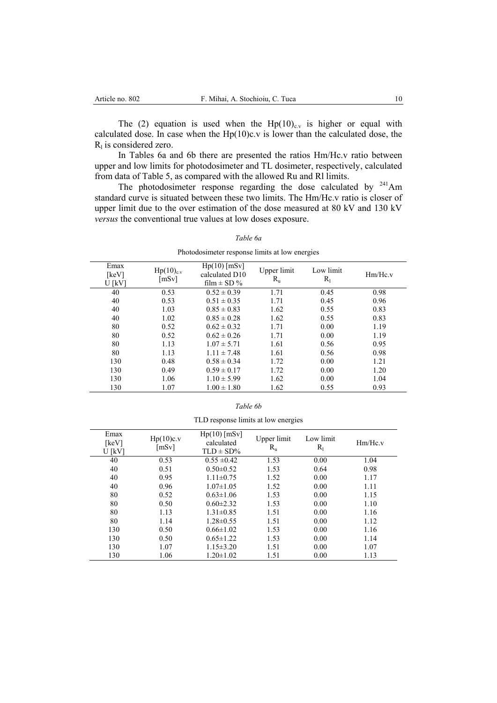The (2) equation is used when the  $Hp(10)<sub>c,v</sub>$  is higher or equal with calculated dose. In case when the  $Hp(10)c.v$  is lower than the calculated dose, the  $R<sub>l</sub>$  is considered zero.

In Tables 6a and 6b there are presented the ratios Hm/Hc.v ratio between upper and low limits for photodosimeter and TL dosimeter, respectively, calculated from data of Table 5, as compared with the allowed Ru and Rl limits.

The photodosimeter response regarding the dose calculated by  $241$ Am standard curve is situated between these two limits. The Hm/Hc.v ratio is closer of upper limit due to the over estimation of the dose measured at 80 kV and 130 kV *versus* the conventional true values at low doses exposure.

|                           |                                | I hotodosmicter response millio at fow energies     |                            |                    |         |
|---------------------------|--------------------------------|-----------------------------------------------------|----------------------------|--------------------|---------|
| Emax<br>[keV]<br>$U$ [kV] | Hp(10) <sub>c.v</sub><br>[mSv] | $Hp(10)$ [mSv]<br>calculated D10<br>film $\pm$ SD % | Upper limit<br>$R_{\rm u}$ | Low limit<br>$R_1$ | Hm/Hc.v |
| 40                        | 0.53                           | $0.52 \pm 0.39$                                     | 1.71                       | 0.45               | 0.98    |
| 40                        | 0.53                           | $0.51 \pm 0.35$                                     | 1.71                       | 0.45               | 0.96    |
| 40                        | 1.03                           | $0.85 \pm 0.83$                                     | 1.62                       | 0.55               | 0.83    |
| 40                        | 1.02                           | $0.85 \pm 0.28$                                     | 1.62                       | 0.55               | 0.83    |
| 80                        | 0.52                           | $0.62 \pm 0.32$                                     | 1.71                       | 0.00               | 1.19    |
| 80                        | 0.52                           | $0.62 \pm 0.26$                                     | 1.71                       | 0.00               | 1.19    |
| 80                        | 1.13                           | $1.07 \pm 5.71$                                     | 1.61                       | 0.56               | 0.95    |
| 80                        | 1.13                           | $1.11 \pm 7.48$                                     | 1.61                       | 0.56               | 0.98    |
| 130                       | 0.48                           | $0.58 \pm 0.34$                                     | 1.72                       | 0.00               | 1.21    |
| 130                       | 0.49                           | $0.59 \pm 0.17$                                     | 1.72                       | 0.00               | 1.20    |
| 130                       | 1.06                           | $1.10 \pm 5.99$                                     | 1.62                       | 0.00               | 1.04    |
| 130                       | 1.07                           | $1.00 \pm 1.80$                                     | 1.62                       | 0.55               | 0.93    |

*Table 6a*

Photodosimeter response limits at low energies

| TLD response limits at low energies |  |  |
|-------------------------------------|--|--|
|                                     |  |  |
|                                     |  |  |
|                                     |  |  |

| Emax<br>[keV]<br>U [kV] | Hp(10)c.v<br>[mSv] | $Hp(10)$ [mSv]<br>calculated<br>$TLD \pm SD\%$ | Upper limit<br>$R_{\rm u}$ | Low limit<br>$R_1$ | Hm/Hc.v |
|-------------------------|--------------------|------------------------------------------------|----------------------------|--------------------|---------|
| 40                      | 0.53               | $0.55 \pm 0.42$                                | 1.53                       | 0.00               | 1.04    |
| 40                      | 0.51               | $0.50 \pm 0.52$                                | 1.53                       | 0.64               | 0.98    |
| 40                      | 0.95               | $1.11 \pm 0.75$                                | 1.52                       | 0.00               | 1.17    |
| 40                      | 0.96               | $1.07 \pm 1.05$                                | 1.52                       | 0.00               | 1.11    |
| 80                      | 0.52               | $0.63 \pm 1.06$                                | 1.53                       | 0.00               | 1.15    |
| 80                      | 0.50               | $0.60 \pm 2.32$                                | 1.53                       | 0.00               | 1.10    |
| 80                      | 1.13               | $1.31 \pm 0.85$                                | 1.51                       | 0.00               | 1.16    |
| 80                      | 1.14               | $1.28 \pm 0.55$                                | 1.51                       | 0.00               | 1.12    |
| 130                     | 0.50               | $0.66 \pm 1.02$                                | 1.53                       | 0.00               | 1.16    |
| 130                     | 0.50               | $0.65 \pm 1.22$                                | 1.53                       | 0.00               | 1.14    |
| 130                     | 1.07               | $1.15 \pm 3.20$                                | 1.51                       | 0.00               | 1.07    |
| 130                     | 1.06               | $1.20 \pm 1.02$                                | 1.51                       | 0.00               | 1.13    |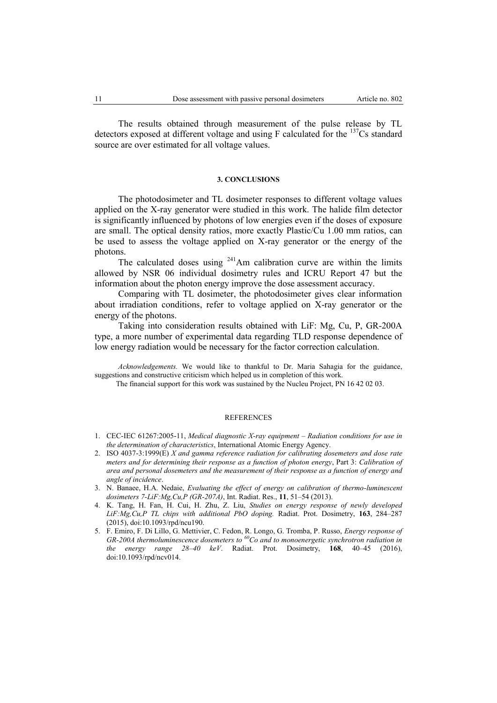The results obtained through measurement of the pulse release by TL detectors exposed at different voltage and using  $F$  calculated for the  $137Cs$  standard source are over estimated for all voltage values.

### **3. CONCLUSIONS**

The photodosimeter and TL dosimeter responses to different voltage values applied on the X-ray generator were studied in this work. The halide film detector is significantly influenced by photons of low energies even if the doses of exposure are small. The optical density ratios, more exactly Plastic/Cu 1.00 mm ratios, can be used to assess the voltage applied on X-ray generator or the energy of the photons.

The calculated doses using  $241$ Am calibration curve are within the limits allowed by NSR 06 individual dosimetry rules and ICRU Report 47 but the information about the photon energy improve the dose assessment accuracy.

Comparing with TL dosimeter, the photodosimeter gives clear information about irradiation conditions, refer to voltage applied on X-ray generator or the energy of the photons.

Taking into consideration results obtained with LiF: Mg, Cu, P, GR-200A type, a more number of experimental data regarding TLD response dependence of low energy radiation would be necessary for the factor correction calculation.

*Acknowledgements.* We would like to thankful to Dr. Maria Sahagia for the guidance, suggestions and constructive criticism which helped us in completion of this work.

The financial support for this work was sustained by the Nucleu Project, PN 16 42 02 03.

#### **REFERENCES**

- 1. CEC-IEC 61267:2005-11, *Medical diagnostic X-ray equipment – Radiation conditions for use in the determination of characteristics*, International Atomic Energy Agency.
- 2. ISO 4037-3:1999(E) *X and gamma reference radiation for calibrating dosemeters and dose rate meters and for determining their response as a function of photon energy*, Part 3: *Calibration of area and personal dosemeters and the measurement of their response as a function of energy and angle of incidence*.
- 3. N. Banaee, H.A. Nedaie, *Evaluating the effect of energy on calibration of thermo-luminescent dosimeters 7-LiF:Mg,Cu,P (GR-207A)*, Int. Radiat. Res., **11**, 51–54 (2013).
- 4. K. Tang, H. Fan, H. Cui, H. Zhu, Z. Liu, *Studies on energy response of newly developed LiF:Mg,Cu,P TL chips with additional PbO doping.* Radiat. Prot. Dosimetry, **163**, 284–287 (2015), doi:10.1093/rpd/ncu190.
- 5. F. Emiro, F. Di Lillo, G. Mettivier, C. Fedon, R. Longo, G. Tromba, P. Russo, *Energy response of GR-200A thermoluminescence dosemeters to <sup>60</sup>Co and to monoenergetic synchrotron radiation in the energy range 28–40 keV*. Radiat. Prot. Dosimetry, **168**, 40–45 (2016), doi:10.1093/rpd/ncv014.